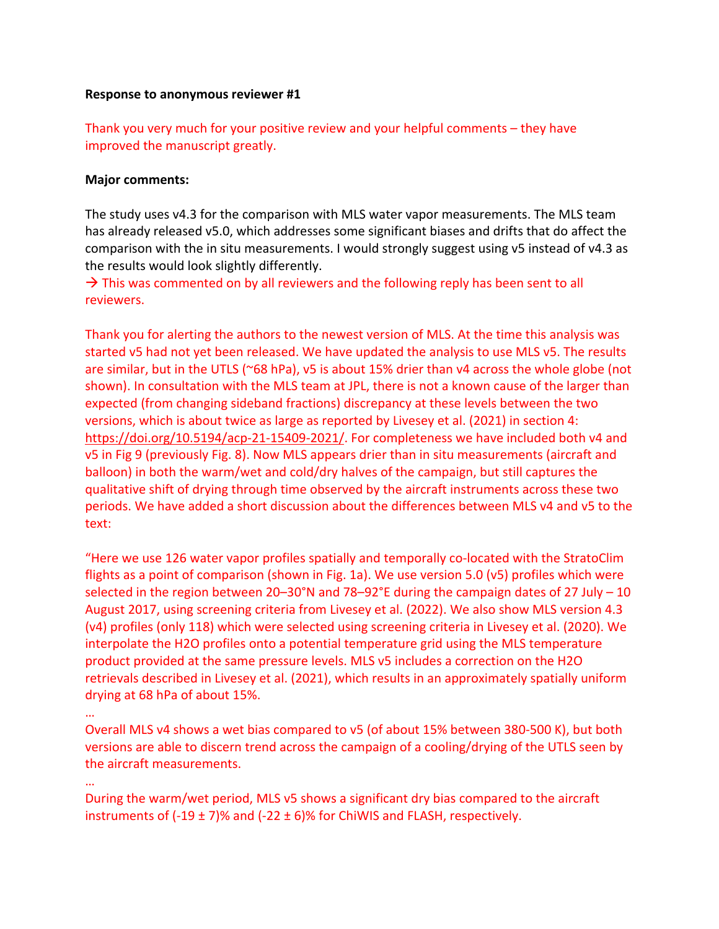## **Response to anonymous reviewer #1**

Thank you very much for your positive review and your helpful comments – they have improved the manuscript greatly.

## **Major comments:**

The study uses v4.3 for the comparison with MLS water vapor measurements. The MLS team has already released v5.0, which addresses some significant biases and drifts that do affect the comparison with the in situ measurements. I would strongly suggest using v5 instead of v4.3 as the results would look slightly differently.

 $\rightarrow$  This was commented on by all reviewers and the following reply has been sent to all reviewers.

Thank you for alerting the authors to the newest version of MLS. At the time this analysis was started v5 had not yet been released. We have updated the analysis to use MLS v5. The results are similar, but in the UTLS (~68 hPa), v5 is about 15% drier than v4 across the whole globe (not shown). In consultation with the MLS team at JPL, there is not a known cause of the larger than expected (from changing sideband fractions) discrepancy at these levels between the two versions, which is about twice as large as reported by Livesey et al. (2021) in section 4: https://doi.org/10.5194/acp-21-15409-2021/. For completeness we have included both v4 and v5 in Fig 9 (previously Fig. 8). Now MLS appears drier than in situ measurements (aircraft and balloon) in both the warm/wet and cold/dry halves of the campaign, but still captures the qualitative shift of drying through time observed by the aircraft instruments across these two periods. We have added a short discussion about the differences between MLS v4 and v5 to the text:

"Here we use 126 water vapor profiles spatially and temporally co-located with the StratoClim flights as a point of comparison (shown in Fig. 1a). We use version 5.0 (v5) profiles which were selected in the region between 20–30°N and 78–92°E during the campaign dates of 27 July – 10 August 2017, using screening criteria from Livesey et al. (2022). We also show MLS version 4.3 (v4) profiles (only 118) which were selected using screening criteria in Livesey et al. (2020). We interpolate the H2O profiles onto a potential temperature grid using the MLS temperature product provided at the same pressure levels. MLS v5 includes a correction on the H2O retrievals described in Livesey et al. (2021), which results in an approximately spatially uniform drying at 68 hPa of about 15%.

…

Overall MLS v4 shows a wet bias compared to v5 (of about 15% between 380-500 K), but both versions are able to discern trend across the campaign of a cooling/drying of the UTLS seen by the aircraft measurements.

…

During the warm/wet period, MLS v5 shows a significant dry bias compared to the aircraft instruments of  $(-19 \pm 7)\%$  and  $(-22 \pm 6)\%$  for ChiWIS and FLASH, respectively.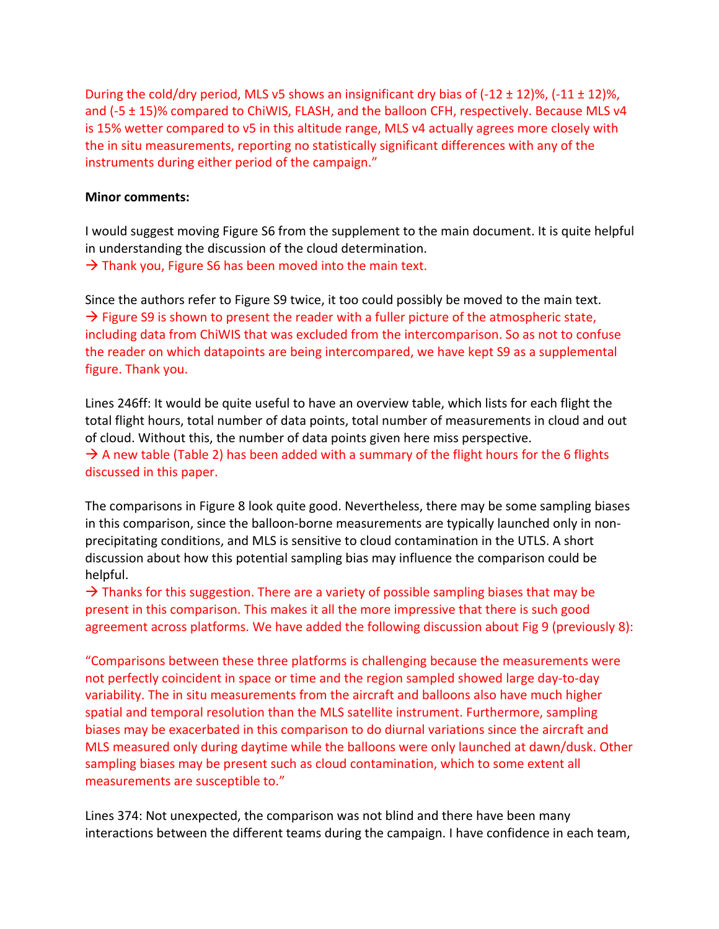During the cold/dry period, MLS v5 shows an insignificant dry bias of  $(-12 \pm 12)\%$ ,  $(-11 \pm 12)\%$ , and (-5 ± 15)% compared to ChiWIS, FLASH, and the balloon CFH, respectively. Because MLS v4 is 15% wetter compared to v5 in this altitude range, MLS v4 actually agrees more closely with the in situ measurements, reporting no statistically significant differences with any of the instruments during either period of the campaign."

## **Minor comments:**

I would suggest moving Figure S6 from the supplement to the main document. It is quite helpful in understanding the discussion of the cloud determination.  $\rightarrow$  Thank you, Figure S6 has been moved into the main text.

Since the authors refer to Figure S9 twice, it too could possibly be moved to the main text.  $\rightarrow$  Figure S9 is shown to present the reader with a fuller picture of the atmospheric state, including data from ChiWIS that was excluded from the intercomparison. So as not to confuse the reader on which datapoints are being intercompared, we have kept S9 as a supplemental figure. Thank you.

Lines 246ff: It would be quite useful to have an overview table, which lists for each flight the total flight hours, total number of data points, total number of measurements in cloud and out of cloud. Without this, the number of data points given here miss perspective.

 $\rightarrow$  A new table (Table 2) has been added with a summary of the flight hours for the 6 flights discussed in this paper.

The comparisons in Figure 8 look quite good. Nevertheless, there may be some sampling biases in this comparison, since the balloon-borne measurements are typically launched only in nonprecipitating conditions, and MLS is sensitive to cloud contamination in the UTLS. A short discussion about how this potential sampling bias may influence the comparison could be helpful.

 $\rightarrow$  Thanks for this suggestion. There are a variety of possible sampling biases that may be present in this comparison. This makes it all the more impressive that there is such good agreement across platforms. We have added the following discussion about Fig 9 (previously 8):

"Comparisons between these three platforms is challenging because the measurements were not perfectly coincident in space or time and the region sampled showed large day-to-day variability. The in situ measurements from the aircraft and balloons also have much higher spatial and temporal resolution than the MLS satellite instrument. Furthermore, sampling biases may be exacerbated in this comparison to do diurnal variations since the aircraft and MLS measured only during daytime while the balloons were only launched at dawn/dusk. Other sampling biases may be present such as cloud contamination, which to some extent all measurements are susceptible to."

Lines 374: Not unexpected, the comparison was not blind and there have been many interactions between the different teams during the campaign. I have confidence in each team,